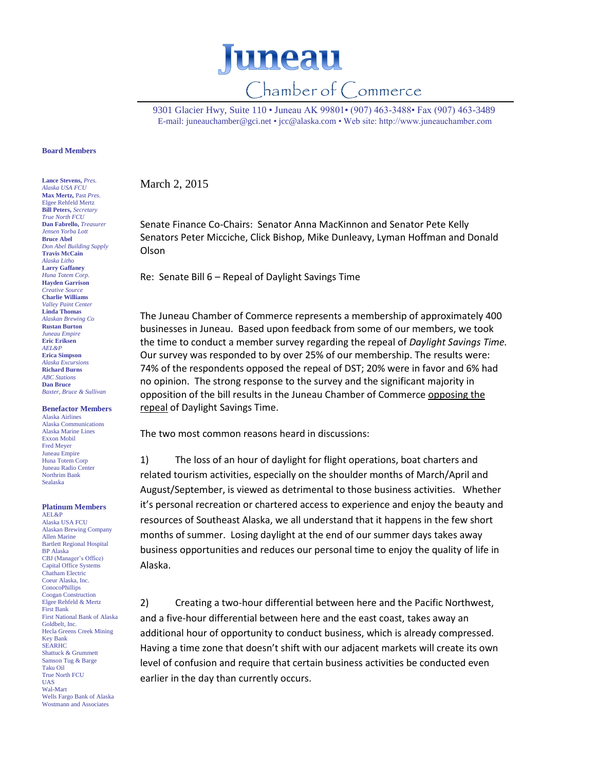

9301 Glacier Hwy, Suite 110 • Juneau AK 99801• (907) 463-3488• Fax (907) 463-3489 E-mail: [juneauchamber@gci.net](mailto:juneauchamber@gci.net) [• jcc@alaska.com](mailto:jcc@alaska.com) • Web site: http://www.juneauchamber.com

## **Board Members**

**Lance Stevens,** *Pres. Alaska USA FCU* **Max Mertz,** Past *Pres.*  Elgee Rehfeld Mertz **Bill Peters,** *Secretary True North FCU* **Dan Fabrello,** *Treasurer Jensen Yorba Lott* **Bruce Abel** *Don Abel Building Supply* **Travis McCain** *Alaska Litho* **Larry Gaffaney** *Huna Totem Corp.* **Hayden Garrison** *Creative Source* **Charlie Williams** *Valley Paint Center* **Linda Thomas** *Alaskan Brewing Co* **Rustan Burton** *Juneau Empire* **Eric Eriksen** *AEL&P* **Erica Simpson** *Alaska Excursions* **Richard Burns** *ABC Stations* **Dan Bruce** *Baxter, Bruce & Sullivan*

## **Benefactor Members**

Alaska Airlines Alaska Communications Alaska Marine Lines Exxon Mobil Fred Meyer Juneau Empire Huna Totem Corp Juneau Radio Center Northrim Bank Sealaska

## **Platinum Members** AEL&P

Alaska USA FCU Alaskan Brewing Company Allen Marine Bartlett Regional Hospital BP Alaska CBJ (Manager's Office) Capital Office Systems Chatham Electric Coeur Alaska, Inc. **ConocoPhillips** Coogan Construction Elgee Rehfeld & Mertz First Bank First National Bank of Alaska Goldbelt, Inc. Hecla Greens Creek Mining Key Bank SEARHC Shattuck & Grummett Samson Tug & Barge Taku Oil True North FCU UAS Wal-Mart Wells Fargo Bank of Alaska Wostmann and Associates

March 2, 2015

Senate Finance Co-Chairs: Senator Anna MacKinnon and Senator Pete Kelly Senators Peter Micciche, Click Bishop, Mike Dunleavy, Lyman Hoffman and Donald Olson

Re: Senate Bill 6 – Repeal of Daylight Savings Time

The Juneau Chamber of Commerce represents a membership of approximately 400 businesses in Juneau. Based upon feedback from some of our members, we took the time to conduct a member survey regarding the repeal of *Daylight Savings Time.* Our survey was responded to by over 25% of our membership. The results were: 74% of the respondents opposed the repeal of DST; 20% were in favor and 6% had no opinion. The strong response to the survey and the significant majority in opposition of the bill results in the Juneau Chamber of Commerce opposing the repeal of Daylight Savings Time.

The two most common reasons heard in discussions:

1) The loss of an hour of daylight for flight operations, boat charters and related tourism activities, especially on the shoulder months of March/April and August/September, is viewed as detrimental to those business activities. Whether it's personal recreation or chartered access to experience and enjoy the beauty and resources of Southeast Alaska, we all understand that it happens in the few short months of summer. Losing daylight at the end of our summer days takes away business opportunities and reduces our personal time to enjoy the quality of life in Alaska.

2) Creating a two-hour differential between here and the Pacific Northwest, and a five-hour differential between here and the east coast, takes away an additional hour of opportunity to conduct business, which is already compressed. Having a time zone that doesn't shift with our adjacent markets will create its own level of confusion and require that certain business activities be conducted even earlier in the day than currently occurs.